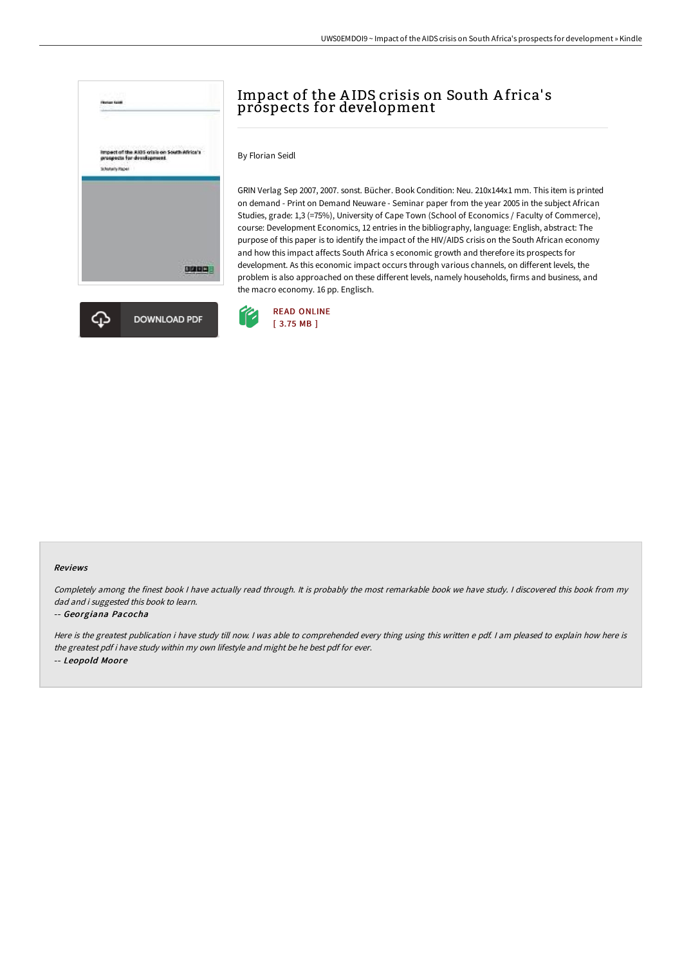



# Impact of the AIDS crisis on South Africa's prospects for development

By Florian Seidl

GRIN Verlag Sep 2007, 2007. sonst. Bücher. Book Condition: Neu. 210x144x1 mm. This item is printed on demand - Print on Demand Neuware - Seminar paper from the year 2005 in the subject African Studies, grade: 1,3 (=75%), University of Cape Town (School of Economics / Faculty of Commerce), course: Development Economics, 12 entries in the bibliography, language: English, abstract: The purpose of this paper is to identify the impact of the HIV/AIDS crisis on the South African economy and how this impact affects South Africa s economic growth and therefore its prospects for development. As this economic impact occurs through various channels, on different levels, the problem is also approached on these different levels, namely households, firms and business, and the macro economy. 16 pp. Englisch.



#### Reviews

Completely among the finest book <sup>I</sup> have actually read through. It is probably the most remarkable book we have study. <sup>I</sup> discovered this book from my dad and i suggested this book to learn.

### -- Georgiana Pacocha

Here is the greatest publication i have study till now. <sup>I</sup> was able to comprehended every thing using this written <sup>e</sup> pdf. <sup>I</sup> am pleased to explain how here is the greatest pdf i have study within my own lifestyle and might be he best pdf for ever. -- Leopold Moore